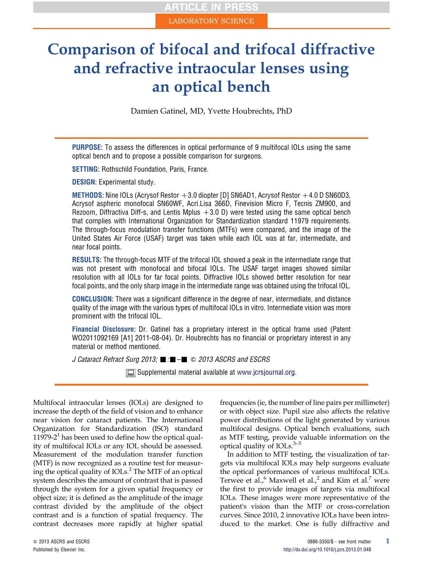# Comparison of bifocal and trifocal diffractive and refractive intraocular lenses using an optical bench

Damien Gatinel, MD, Yvette Houbrechts, PhD

PURPOSE: To assess the differences in optical performance of 9 multifocal IOLs using the same optical bench and to propose a possible comparison for surgeons.

**SETTING:** Rothschild Foundation, Paris, France.

DESIGN: Experimental study.

METHODS: Nine IOLs (Acrysof Restor  $+3.0$  diopter [D] SN6AD1, Acrysof Restor  $+4.0$  D SN60D3, Acrysof aspheric monofocal SN60WF, Acri.Lisa 366D, Finevision Micro F, Tecnis ZM900, and Rezoom, Diffractiva Diff-s, and Lentis Mplus  $+3.0$  D) were tested using the same optical bench that complies with International Organization for Standardization standard 11979 requirements. The through-focus modulation transfer functions (MTFs) were compared, and the image of the United States Air Force (USAF) target was taken while each IOL was at far, intermediate, and near focal points.

RESULTS: The through-focus MTF of the trifocal IOL showed a peak in the intermediate range that was not present with monofocal and bifocal IOLs. The USAF target images showed similar resolution with all IOLs for far focal points. Diffractive IOLs showed better resolution for near focal points, and the only sharp image in the intermediate range was obtained using the trifocal IOL.

CONCLUSION: There was a significant difference in the degree of near, intermediate, and distance quality of the image with the various types of multifocal IOLs in vitro. Intermediate vision was more prominent with the trifocal IOL.

Financial Disclosure: Dr. Gatinel has a proprietary interest in the optical frame used (Patent WO2011092169 [A1] 2011-08-04). Dr. Houbrechts has no financial or proprietary interest in any material or method mentioned.

J Cataract Refract Surg 2013;  $\blacksquare$ : $\blacksquare$   $\blacksquare$   $\heartsuit$  2013 ASCRS and ESCRS

Supplemental material available at [www.jcrsjournal.org.](http://www.jcrsjournal.org)

Multifocal intraocular lenses (IOLs) are designed to increase the depth of the field of vision and to enhance near vision for cataract patients. The International Organization for Standardization (ISO) standard [1](#page-5-0)1979-2<sup>1</sup> has been used to define how the optical quality of multifocal IOLs or any IOL should be assessed. Measurement of the modulation transfer function (MTF) is now recognized as a routine test for measuring the optical quality of IOLs.[2](#page-5-0) The MTF of an optical system describes the amount of contrast that is passed through the system for a given spatial frequency or object size; it is defined as the amplitude of the image contrast divided by the amplitude of the object contrast and is a function of spatial frequency. The contrast decreases more rapidly at higher spatial frequencies (ie, the number of line pairs per millimeter) or with object size. Pupil size also affects the relative power distributions of the light generated by various multifocal designs. Optical bench evaluations, such as MTF testing, provi[de v](#page-5-0)aluable information on the optical quality of IOLs. $3-5$ 

In addition to MTF testing, the visualization of targets via multifocal IOLs may help surgeons evaluate the optical performances of various multifocal IOLs. Terwee et al.,  $^6$  $^6$  Maxwell et al.,  $^2$  and Kim et al.<sup>[7](#page-5-0)</sup> were the first to provide images of targets via multifocal IOLs. These images were more representative of the patient's vision than the MTF or cross-correlation curves. Since 2010, 2 innovative IOLs have been introduced to the market. One is fully diffractive and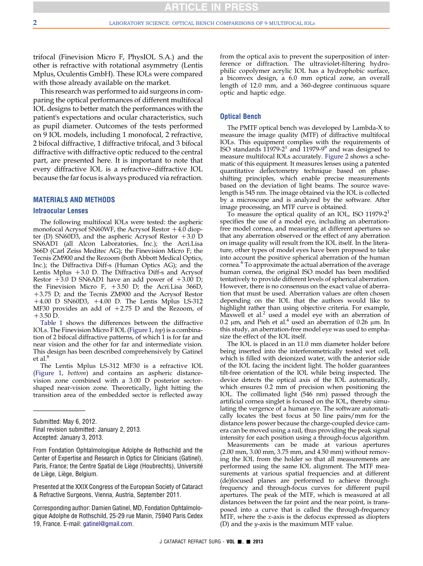trifocal (Finevision Micro F, PhysIOL S.A.) and the other is refractive with rotational asymmetry (Lentis Mplus, Oculentis GmbH). These IOLs were compared with those already available on the market.

This research was performed to aid surgeons in comparing the optical performances of different multifocal IOL designs to better match the performances with the patient's expectations and ocular characteristics, such as pupil diameter. Outcomes of the tests performed on 9 IOL models, including 1 monofocal, 2 refractive, 2 bifocal diffractive, 1 diffractive trifocal, and 3 bifocal diffractive with diffractive optic reduced to the central part, are presented here. It is important to note that every diffractive IOL is a refractive–diffractive IOL because the far focus is always produced via refraction.

## MATERIALS AND METHODS

#### Intraocular Lenses

The following multifocal IOLs were tested: the aspheric monofocal Acrysof SN60WF, the Acrysof Restor  $+4.0$  diopter (D) SN60D3, and the aspheric Acrysof Restor  $+3.0$  D SN6AD1 (all Alcon Laboratories, Inc.); the Acri.Lisa 366D (Carl Zeiss Meditec AG); the Finevision Micro F; the Tecnis ZM900 and the Rezoom (both Abbott Medical Optics, Inc.); the Diffractiva Diff-s (Human Optics AG); and the Lentis Mplus  $+3.0$  D. The Diffractiva Diff-s and Acrysof Restor  $+3.0$  D SN6AD1 have an add power of  $+3.00$  D; the Finevision Micro F,  $+3.50$  D; the Acri.Lisa 366D,  $+3.75$  D; and the Tecnis ZM900 and the Acrysof Restor  $+4.00$  D SN60D3,  $+4.00$  D. The Lentis Mplus LS-312 MF30 provides an add of  $+2.75$  D and the Rezoom, of  $+3.50$  D.

[Table 1](#page-2-0) shows the differences between the diffractive IOLs. The Finevision Micro F IOL ([Figure 1](#page-3-0), top) is a combination of 2 bifocal diffractive patterns, of which 1 is for far and near vision and the other for far and intermediate vision. This design has been described comprehensively by Gatinel et al.<sup>[8](#page-5-0)</sup>

The Lentis Mplus LS-312 MF30 is a refractive IOL ([Figure 1,](#page-3-0) bottom) and contains an aspheric distancevision zone combined with a 3.00 D posterior sectorshaped near-vision zone. Theoretically, light hitting the transition area of the embedded sector is reflected away

Final revision submitted: January 2, 2013. Accepted: January 3, 2013.

Presented at the XXIX Congress of the European Society of Cataract & Refractive Surgeons, Vienna, Austria, September 2011.

Corresponding author: Damien Gatinel, MD, Fondation Ophtalmologique Adolphe de Rothschild, 25-29 rue Manin, 75940 Paris Cedex 19, France. E-mail: [gatinel@gmail.com.](mailto:gatinel@gmail.com)

from the optical axis to prevent the superposition of interference or diffraction. The ultraviolet-filtering hydrophilic copolymer acrylic IOL has a hydrophobic surface, a biconvex design, a 6.0 mm optical zone, an overall length of 12.0 mm, and a 360-degree continuous square optic and haptic edge.

## Optical Bench

The PMTF optical bench was developed by Lambda-X to measure the image quality (MTF) of diffractive multifocal IOLs. This equipment complies with the requirements of ISO standards  $11979-2^1$  $11979-2^1$  $11979-2^1$  $11979-2^1$  and  $11979-9^9$  and was designed to measure multifocal IOLs accurately. [Figure 2](#page-3-0) shows a schematic of this equipment. It measures lenses using a patented quantitative deflectometry technique based on phaseshifting principles, which enable precise measurements based on the deviation of light beams. The source wavelength is 545 nm. The image obtained via the IOL is collected by a microscope and is analyzed by the software. After image processing, an MTF curve is obtained.

To measure the optical quality of an IOL, ISO  $11979-2^1$  $11979-2^1$ specifies the use of a model eye, including an aberrationfree model cornea, and measuring at different apertures so that any aberration observed or the effect of any aberration on image quality will result from the IOL itself. In the literature, other types of model eyes have been proposed to take into account the positive spherical aberration of the human cornea.[4](#page-5-0) To approximate the actual aberration of the average human cornea, the original ISO model has been modified tentatively to provide different levels of spherical aberration. However, there is no consensus on the exact value of aberration that must be used. Aberration values are often chosen depending on the IOL that the authors would like to highlight rather than using objective criteria. For example, Maxwell et al.<sup>[2](#page-5-0)</sup> used a model eye with an aberration of 0.2  $\mu$ m, and Pieh et al.<sup>4</sup> used an aberration of 0.26  $\mu$ m. In this study, an aberration-free model eye was used to emphasize the effect of the IOL itself.

The IOL is placed in an 11.0 mm diameter holder before being inserted into the interferometrically tested wet cell, which is filled with deionized water, with the anterior side of the IOL facing the incident light. The holder guarantees tilt-free orientation of the IOL while being inspected. The device detects the optical axis of the IOL automatically, which ensures 0.2 mm of precision when positioning the IOL. The collimated light (546 nm) passed through the artificial cornea singlet is focused on the IOL, thereby simulating the vergence of a human eye. The software automatically locates the best focus at 50 line pairs/mm for the distance lens power because the charge-coupled device camera can be moved using a rail, thus providing the peak signal intensity for each position using a through-focus algorithm.

Measurements can be made at various apertures (2.00 mm, 3.00 mm, 3.75 mm, and 4.50 mm) without removing the IOL from the holder so that all measurements are performed using the same IOL alignment. The MTF measurements at various spatial frequencies and at different (de)focused planes are performed to achieve throughfrequency and through-focus curves for different pupil apertures. The peak of the MTF, which is measured at all distances between the far point and the near point, is transposed into a curve that is called the through-frequency  $MTF$ , where the *x*-axis is the defocus expressed as diopters (D) and the  $y$ -axis is the maximum MTF value.

Submitted: May 6, 2012.

From Fondation Ophtalmologique Adolphe de Rothschild and the Center of Expertise and Research in Optics for Clinicians (Gatinel), Paris, France; the Centre Spatial de Liège (Houbrechts), Université de Liege, Liege, Belgium.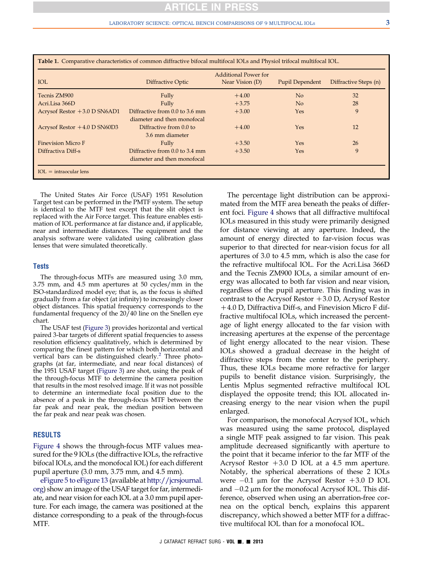<span id="page-2-0"></span>

| Table 1. Comparative characteristics of common diffractive bifocal multifocal IOLs and Physiol trifocal multifocal IOL. |                                |                                                |                        |                       |
|-------------------------------------------------------------------------------------------------------------------------|--------------------------------|------------------------------------------------|------------------------|-----------------------|
| <b>IOL</b>                                                                                                              | Diffractive Optic              | <b>Additional Power for</b><br>Near Vision (D) | <b>Pupil Dependent</b> | Diffractive Steps (n) |
| Tecnis ZM900                                                                                                            | Fully                          | $+4.00$                                        | N <sub>o</sub>         | 32                    |
| Acri.Lisa 366D                                                                                                          | Fully                          | $+3.75$                                        | No                     | 28                    |
| Acrysof Restor $+3.0$ D SN6AD1                                                                                          | Diffractive from 0.0 to 3.6 mm | $+3.00$                                        | Yes                    | 9                     |
|                                                                                                                         | diameter and then monofocal    |                                                |                        |                       |
| Acrysof Restor $+4.0$ D SN60D3                                                                                          | Diffractive from 0.0 to        | $+4.00$                                        | Yes                    | 12                    |
|                                                                                                                         | 3.6 mm diameter                |                                                |                        |                       |
| <b>Finevision Micro F</b>                                                                                               | Fully                          | $+3.50$                                        | Yes                    | 26                    |
| Diffractiva Diff-s                                                                                                      | Diffractive from 0.0 to 3.4 mm | $+3.50$                                        | Yes                    | 9                     |
|                                                                                                                         | diameter and then monofocal    |                                                |                        |                       |
| $IOL = \text{intraocular lens}$                                                                                         |                                |                                                |                        |                       |

The United States Air Force (USAF) 1951 Resolution Target test can be performed in the PMTF system. The setup is identical to the MTF test except that the slit object is replaced with the Air Force target. This feature enables estimation of IOL performance at far distance and, if applicable, near and intermediate distances. The equipment and the analysis software were validated using calibration glass lenses that were simulated theoretically.

#### Tests

The through-focus MTFs are measured using 3.0 mm, 3.75 mm, and 4.5 mm apertures at 50 cycles/mm in the ISO-standardized model eye; that is, as the focus is shifted gradually from a far object (at infinity) to increasingly closer object distances. This spatial frequency corresponds to the fundamental frequency of the 20/40 line on the Snellen eye chart.

The USAF test [\(Figure 3\)](#page-4-0) provides horizontal and vertical paired 3-bar targets of different spatial frequencies to assess resolution efficiency qualitatively, which is determined by comparing the finest pattern for which both horizontal and vertical bars can be distinguished clearly.<sup>[2](#page-5-0)</sup> Three photographs (at far, intermediate, and near focal distances) of the 1951 USAF target ([Figure 3](#page-4-0)) are shot, using the peak of the through-focus MTF to determine the camera position that results in the most resolved image. If it was not possible to determine an intermediate focal position due to the absence of a peak in the through-focus MTF between the far peak and near peak, the median position between the far peak and near peak was chosen.

## RESULTS

[Figure 4](#page-4-0) shows the through-focus MTF values measured for the 9 IOLs (the diffractive IOLs, the refractive bifocal IOLs, and the monofocal IOL) for each different pupil aperture (3.0 mm, 3.75 mm, and 4.5 mm).

eFigure 5 to eFigure 13 (available at [http://jcrsjournal.](http://jcrsjournal.org) [org](http://jcrsjournal.org)) show an image of the USAF target for far, intermediate, and near vision for each IOL at a 3.0 mm pupil aperture. For each image, the camera was positioned at the distance corresponding to a peak of the through-focus MTF.

The percentage light distribution can be approximated from the MTF area beneath the peaks of different foci. [Figure 4](#page-4-0) shows that all diffractive multifocal IOLs measured in this study were primarily designed for distance viewing at any aperture. Indeed, the amount of energy directed to far-vision focus was superior to that directed for near-vision focus for all apertures of 3.0 to 4.5 mm, which is also the case for the refractive multifocal IOL. For the Acri.Lisa 366D and the Tecnis ZM900 IOLs, a similar amount of energy was allocated to both far vision and near vision, regardless of the pupil aperture. This finding was in contrast to the Acrysof Restor  $+3.0$  D, Acrysof Restor +4.0 D, Diffractiva Diff-s, and Finevision Micro F diffractive multifocal IOLs, which increased the percentage of light energy allocated to the far vision with increasing apertures at the expense of the percentage of light energy allocated to the near vision. These IOLs showed a gradual decrease in the height of diffractive steps from the center to the periphery. Thus, these IOLs became more refractive for larger pupils to benefit distance vision. Surprisingly, the Lentis Mplus segmented refractive multifocal IOL displayed the opposite trend; this IOL allocated increasing energy to the near vision when the pupil enlarged.

For comparison, the monofocal Acrysof IOL, which was measured using the same protocol, displayed a single MTF peak assigned to far vision. This peak amplitude decreased significantly with aperture to the point that it became inferior to the far MTF of the Acrysof Restor  $+3.0$  D IOL at a 4.5 mm aperture. Notably, the spherical aberrations of these 2 IOLs were  $-0.1$  µm for the Acrysof Restor  $+3.0$  D IOL and  $-0.2$  µm for the monofocal Acrysof IOL. This difference, observed when using an aberration-free cornea on the optical bench, explains this apparent discrepancy, which showed a better MTF for a diffractive multifocal IOL than for a monofocal IOL.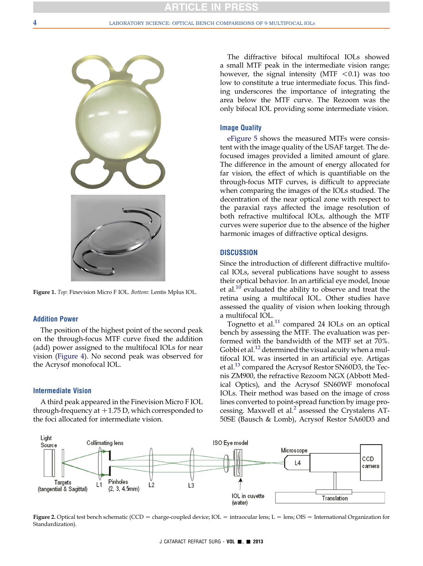<span id="page-3-0"></span>

Figure 1. Top: Finevision Micro F IOL. Bottom: Lentis Mplus IOL.

# Addition Power

The position of the highest point of the second peak on the through-focus MTF curve fixed the addition (add) power assigned to the multifocal IOLs for near vision ([Figure 4\)](#page-4-0). No second peak was observed for the Acrysof monofocal IOL.

#### Intermediate Vision

A third peak appeared in the Finevision Micro F IOL through-frequency at  $+1.75$  D, which corresponded to the foci allocated for intermediate vision.

The diffractive bifocal multifocal IOLs showed a small MTF peak in the intermediate vision range; however, the signal intensity (MTF  $< 0.1$ ) was too low to constitute a true intermediate focus. This finding underscores the importance of integrating the area below the MTF curve. The Rezoom was the only bifocal IOL providing some intermediate vision.

## Image Quality

eFigure 5 shows the measured MTFs were consistent with the image quality of the USAF target. The defocused images provided a limited amount of glare. The difference in the amount of energy allocated for far vision, the effect of which is quantifiable on the through-focus MTF curves, is difficult to appreciate when comparing the images of the IOLs studied. The decentration of the near optical zone with respect to the paraxial rays affected the image resolution of both refractive multifocal IOLs, although the MTF curves were superior due to the absence of the higher harmonic images of diffractive optical designs.

# **DISCUSSION**

Since the introduction of different diffractive multifocal IOLs, several publications have sought to assess their optical behavior. In an artificial eye model, Inoue et al.<sup>[10](#page-5-0)</sup> evaluated the ability to observe and treat the retina using a multifocal IOL. Other studies have assessed the quality of vision when looking through a multifocal IOL.

Tognetto et al. $^{11}$  $^{11}$  $^{11}$  compared 24 IOLs on an optical bench by assessing the MTF. The evaluation was performed with the bandwidth of the MTF set at 70%. Gobbi et al.<sup>[12](#page-6-0)</sup> determined the visual acuity when a multifocal IOL was inserted in an artificial eye. Artigas et al.[13](#page-6-0) compared the Acrysof Restor SN60D3, the Tecnis ZM900, the refractive Rezoom NGX (Abbott Medical Optics), and the Acrysof SN60WF monofocal IOLs. Their method was based on the image of cross lines converted to point-spread function by image processing. Maxwell et al. $2$  assessed the Crystalens AT-50SE (Bausch & Lomb), Acrysof Restor SA60D3 and



Figure 2. Optical test bench schematic (CCD = charge-coupled device; IOL = intraocular lens; L = lens; OIS = International Organization for Standardization).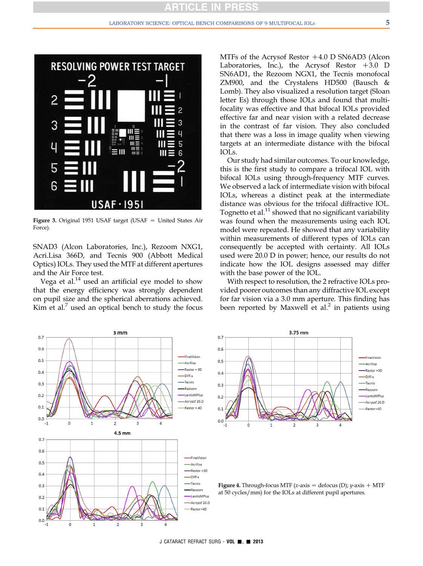<span id="page-4-0"></span>

Figure 3. Original 1951 USAF target (USAF  $=$  United States Air Force).

SNAD3 (Alcon Laboratories, Inc.), Rezoom NXG1, Acri.Lisa 366D, and Tecnis 900 (Abbott Medical Optics) IOLs. They used the MTF at different apertures and the Air Force test.

Vega et al. $^{14}$  used an artificial eye model to show that the energy efficiency was strongly dependent on pupil size and the spherical aberrations achieved. Kim et al. $<sup>7</sup>$  $<sup>7</sup>$  $<sup>7</sup>$  used an optical bench to study the focus</sup>

MTFs of the Acrysof Restor  $+4.0$  D SN6AD3 (Alcon Laboratories, Inc.), the Acrysof Restor  $+3.0$  D SN6AD1, the Rezoom NGX1, the Tecnis monofocal ZM900, and the Crystalens HD500 (Bausch & Lomb). They also visualized a resolution target (Sloan letter Es) through those IOLs and found that multifocality was effective and that bifocal IOLs provided effective far and near vision with a related decrease in the contrast of far vision. They also concluded that there was a loss in image quality when viewing targets at an intermediate distance with the bifocal IOLs.

Our study had similar outcomes. To our knowledge, this is the first study to compare a trifocal IOL with bifocal IOLs using through-frequency MTF curves. We observed a lack of intermediate vision with bifocal IOLs, whereas a distinct peak at the intermediate distance was obvious for the trifocal diffractive IOL. Tognetto et al.<sup>[11](#page-6-0)</sup> showed that no significant variability was found when the measurements using each IOL model were repeated. He showed that any variability within measurements of different types of IOLs can consequently be accepted with certainty. All IOLs used were 20.0 D in power; hence, our results do not indicate how the IOL designs assessed may differ with the base power of the IOL.

With respect to resolution, the 2 refractive IOLs provided poorer outcomes than any diffractive IOL except for far vision via a 3.0 mm aperture. This finding has been reported by Maxwell et al.<sup>[2](#page-5-0)</sup> in patients using





**Figure 4.** Through-focus MTF (x-axis = defocus (D); y-axis  $+$  MTF at 50 cycles/mm) for the IOLs at different pupil apertures.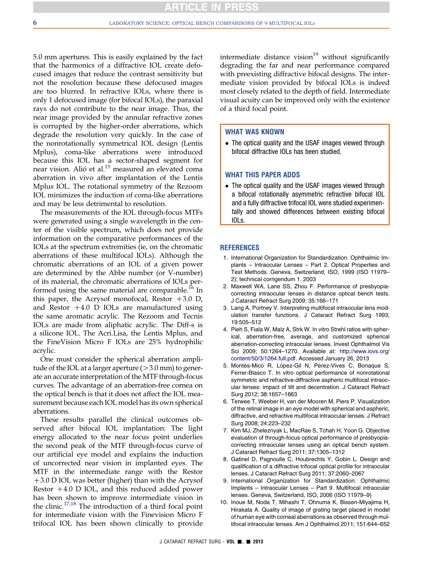<span id="page-5-0"></span>5.0 mm apertures. This is easily explained by the fact that the harmonics of a diffractive IOL create defocused images that reduce the contrast sensitivity but not the resolution because these defocused images are too blurred. In refractive IOLs, where there is only 1 defocused image (for bifocal IOLs), the paraxial rays do not contribute to the near image. Thus, the near image provided by the annular refractive zones is corrupted by the higher-order aberrations, which degrade the resolution very quickly. In the case of the nonrotationally symmetrical IOL design (Lentis Mplus), coma-like aberrations were introduced because this IOL has a sector-shaped segment for near vision. Alió et al.<sup>[15](#page-6-0)</sup> measured an elevated coma aberration in vivo after implantation of the Lentis Mplus IOL. The rotational symmetry of the Rezoom IOL minimizes the induction of coma-like aberrations and may be less detrimental to resolution.

The measurements of the IOL through-focus MTFs were generated using a single wavelength in the center of the visible spectrum, which does not provide information on the comparative performances of the IOLs at the spectrum extremities (ie, on the chromatic aberrations of these multifocal IOLs). Although the chromatic aberrations of an IOL of a given power are determined by the Abbe number (or V-number) of its material, the chromatic aberrations of IOLs per-formed using the same material are comparable.<sup>[16](#page-6-0)</sup> In this paper, the Acrysof monofocal, Restor  $+3.0$  D, and Restor  $+4.0$  D IOLs are manufactured using the same aromatic acrylic. The Rezoom and Tecnis IOLs are made from aliphatic acrylic. The Diff-s is a silicone IOL. The Acri.Lisa, the Lentis Mplus, and the FineVision Micro F IOLs are 25% hydrophilic acrylic.

One must consider the spherical aberration amplitude of the IOL at a larger aperture  $(>3.0$  mm) to generate an accurate interpretation of the MTF through-focus curves. The advantage of an aberration-free cornea on the optical bench is that it does not affect the IOL measurement because each IOL model has its own spherical aberrations.

These results parallel the clinical outcomes observed after bifocal IOL implantation: The light energy allocated to the near focus point underlies the second peak of the MTF through-focus curve of our artificial eye model and explains the induction of uncorrected near vision in implanted eyes. The MTF in the intermediate range with the Restor  $+3.0$  D IOL was better (higher) than with the Acrysof Restor  $+4.0$  D IOL, and this reduced added power has been shown to improve intermediate vision in the clinic.[17,18](#page-6-0) The introduction of a third focal point for intermediate vision with the Finevision Micro F trifocal IOL has been shown clinically to provide

intermediate distance vision $19$  without significantly degrading the far and near performance compared with preexisting diffractive bifocal designs. The intermediate vision provided by bifocal IOLs is indeed most closely related to the depth of field. Intermediate visual acuity can be improved only with the existence of a third focal point.

## WHAT WAS KNOWN

 The optical quality and the USAF images viewed through bifocal diffractive IOLs has been studied.

# WHAT THIS PAPER ADDS

• The optical quality and the USAF images viewed through a bifocal rotationally asymmetric refractive bifocal IOL and a fully diffractive trifocal IOL were studied experimentally and showed differences between existing bifocal IOLs.

## REFERENCES

- 1. International Organization for Standardization. Ophthalmic Implants – Intraocular Lenses – Part 2. Optical Properties and Test Methods. Geneva, Switzerland, ISO, 1999 (ISO 11979– 2); technical corrigendum 1. 2003
- 2. Maxwell WA, Lane SS, Zhou F. Performance of presbyopiacorrecting intraocular lenses in distance optical bench tests. J Cataract Refract Surg 2009; 35:166–171
- 3. Lang A, Portney V. Interpreting multifocal intraocular lens modulation transfer functions. J Cataract Refract Surg 1993; 19:505–512
- 4. Pieh S, Fiala W, Malz A, Strk W. In vitro Strehl ratios with spherical, aberration-free, average, and customized spherical aberration-correcting intraocular lenses. Invest Ophthalmol Vis Sci 2009; 50:1264–1270. Available at: [http://www.iovs.org/](http://www.iovs.org/content/50/3/1264.full.pdf) [content/50/3/1264.full.pdf.](http://www.iovs.org/content/50/3/1264.full.pdf) Accessed January 26, 2013
- 5. Montés-Micó R, López-Gil N, Pérez-Vives C, Bonaque S, Ferrer-Blasco T. In vitro optical performance of nonrotational symmetric and refractive-diffractive aspheric multifocal intraocular lenses: impact of tilt and decentration. J Cataract Refract Surg 2012; 38:1657–1663
- 6. Terwee T, Weeber H, van der Mooren M, Piers P. Visualization of the retinal image in an eye model with spherical and aspheric, diffractive, and refractive multifocal intraocular lenses. J Refract Surg 2008; 24:223–232
- 7. Kim MJ, Zheleznyak L, MacRae S, Tchah H, Yoon G. Objective evaluation of through-focus optical performance of presbyopiacorrecting intraocular lenses using an optical bench system. J Cataract Refract Surg 2011; 37:1305–1312
- 8. Gatinel D, Pagnoulle C, Houbrechts Y, Gobin L. Design and qualification of a diffractive trifocal optical profile for intraocular lenses. J Cataract Refract Surg 2011; 37:2060–2067
- 9. International Organization for Standardization. Ophthalmic Implants – Intraocular Lenses – Part 9. Multifocal intraocular lenses. Geneva, Switzerland, ISO, 2006 (ISO 11979–9)
- 10. Inoue M, Noda T, Mihashi T, Ohnuma K, Bissen-Miyajima H, Hirakata A. Quality of image of grating target placed in model of human eye with corneal aberrations as observed through multifocal intraocular lenses. Am J Ophthalmol 2011; 151:644–652